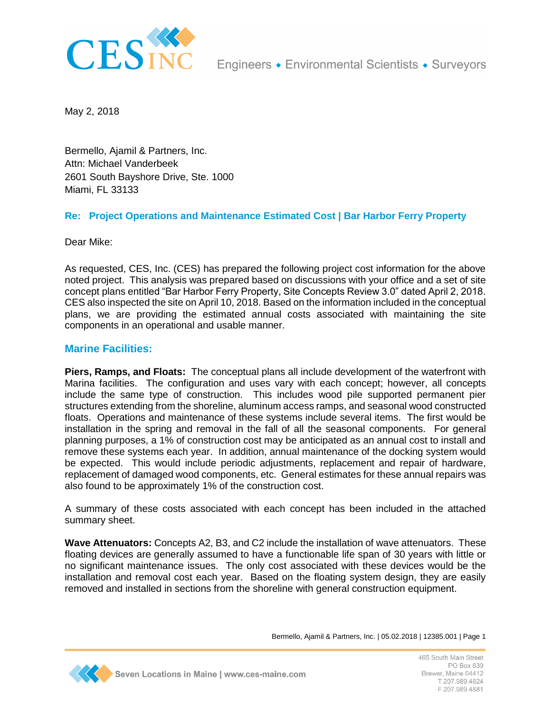

May 2, 2018

Bermello, Ajamil & Partners, Inc. Attn: Michael Vanderbeek 2601 South Bayshore Drive, Ste. 1000 Miami, FL 33133

## **Re: Project Operations and Maintenance Estimated Cost | Bar Harbor Ferry Property**

Dear Mike:

As requested, CES, Inc. (CES) has prepared the following project cost information for the above noted project. This analysis was prepared based on discussions with your office and a set of site concept plans entitled "Bar Harbor Ferry Property, Site Concepts Review 3.0" dated April 2, 2018. CES also inspected the site on April 10, 2018. Based on the information included in the conceptual plans, we are providing the estimated annual costs associated with maintaining the site components in an operational and usable manner.

## **Marine Facilities:**

**Piers, Ramps, and Floats:** The conceptual plans all include development of the waterfront with Marina facilities. The configuration and uses vary with each concept; however, all concepts include the same type of construction. This includes wood pile supported permanent pier structures extending from the shoreline, aluminum access ramps, and seasonal wood constructed floats. Operations and maintenance of these systems include several items. The first would be installation in the spring and removal in the fall of all the seasonal components. For general planning purposes, a 1% of construction cost may be anticipated as an annual cost to install and remove these systems each year. In addition, annual maintenance of the docking system would be expected. This would include periodic adjustments, replacement and repair of hardware, replacement of damaged wood components, etc. General estimates for these annual repairs was also found to be approximately 1% of the construction cost.

A summary of these costs associated with each concept has been included in the attached summary sheet.

**Wave Attenuators:** Concepts A2, B3, and C2 include the installation of wave attenuators. These floating devices are generally assumed to have a functionable life span of 30 years with little or no significant maintenance issues. The only cost associated with these devices would be the installation and removal cost each year. Based on the floating system design, they are easily removed and installed in sections from the shoreline with general construction equipment.



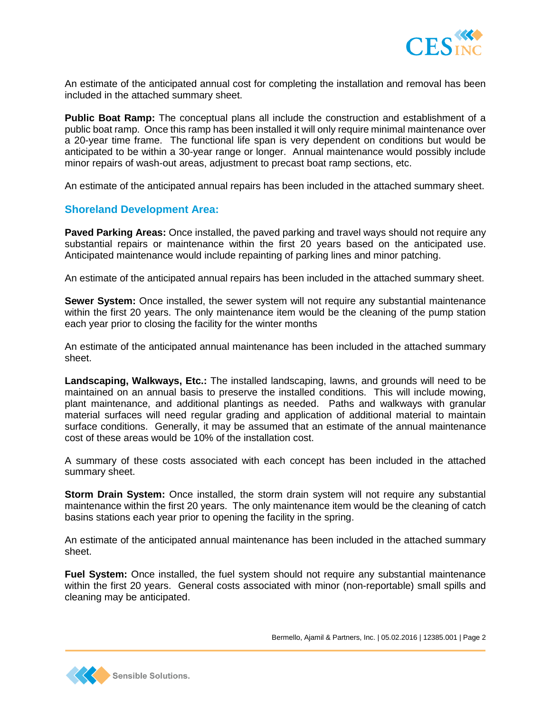

An estimate of the anticipated annual cost for completing the installation and removal has been included in the attached summary sheet.

**Public Boat Ramp:** The conceptual plans all include the construction and establishment of a public boat ramp. Once this ramp has been installed it will only require minimal maintenance over a 20-year time frame. The functional life span is very dependent on conditions but would be anticipated to be within a 30-year range or longer. Annual maintenance would possibly include minor repairs of wash-out areas, adjustment to precast boat ramp sections, etc.

An estimate of the anticipated annual repairs has been included in the attached summary sheet.

## **Shoreland Development Area:**

**Paved Parking Areas:** Once installed, the paved parking and travel ways should not require any substantial repairs or maintenance within the first 20 years based on the anticipated use. Anticipated maintenance would include repainting of parking lines and minor patching.

An estimate of the anticipated annual repairs has been included in the attached summary sheet.

**Sewer System:** Once installed, the sewer system will not require any substantial maintenance within the first 20 years. The only maintenance item would be the cleaning of the pump station each year prior to closing the facility for the winter months

An estimate of the anticipated annual maintenance has been included in the attached summary sheet.

**Landscaping, Walkways, Etc.:** The installed landscaping, lawns, and grounds will need to be maintained on an annual basis to preserve the installed conditions. This will include mowing, plant maintenance, and additional plantings as needed. Paths and walkways with granular material surfaces will need regular grading and application of additional material to maintain surface conditions. Generally, it may be assumed that an estimate of the annual maintenance cost of these areas would be 10% of the installation cost.

A summary of these costs associated with each concept has been included in the attached summary sheet.

**Storm Drain System:** Once installed, the storm drain system will not require any substantial maintenance within the first 20 years. The only maintenance item would be the cleaning of catch basins stations each year prior to opening the facility in the spring.

An estimate of the anticipated annual maintenance has been included in the attached summary sheet.

**Fuel System:** Once installed, the fuel system should not require any substantial maintenance within the first 20 years. General costs associated with minor (non-reportable) small spills and cleaning may be anticipated.



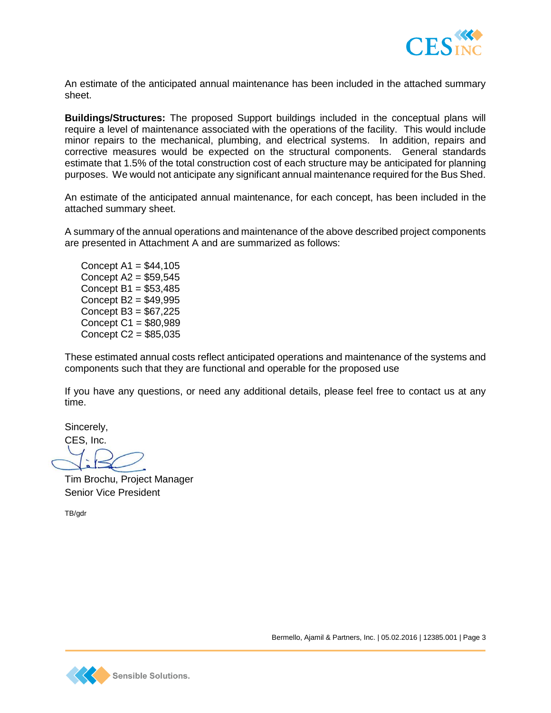

An estimate of the anticipated annual maintenance has been included in the attached summary sheet.

**Buildings/Structures:** The proposed Support buildings included in the conceptual plans will require a level of maintenance associated with the operations of the facility. This would include minor repairs to the mechanical, plumbing, and electrical systems. In addition, repairs and corrective measures would be expected on the structural components. General standards estimate that 1.5% of the total construction cost of each structure may be anticipated for planning purposes. We would not anticipate any significant annual maintenance required for the Bus Shed.

An estimate of the anticipated annual maintenance, for each concept, has been included in the attached summary sheet.

A summary of the annual operations and maintenance of the above described project components are presented in Attachment A and are summarized as follows:

Concept  $A1 = $44,105$ Concept A2 = \$59,545 Concept  $B1 = $53,485$ Concept B2 = \$49,995 Concept B3 = \$67,225 Concept C1 = \$80,989 Concept C2 = \$85,035

These estimated annual costs reflect anticipated operations and maintenance of the systems and components such that they are functional and operable for the proposed use

If you have any questions, or need any additional details, please feel free to contact us at any time.

Sincerely,

CES, Inc.

Tim Brochu, Project Manager Senior Vice President

TB/gdr

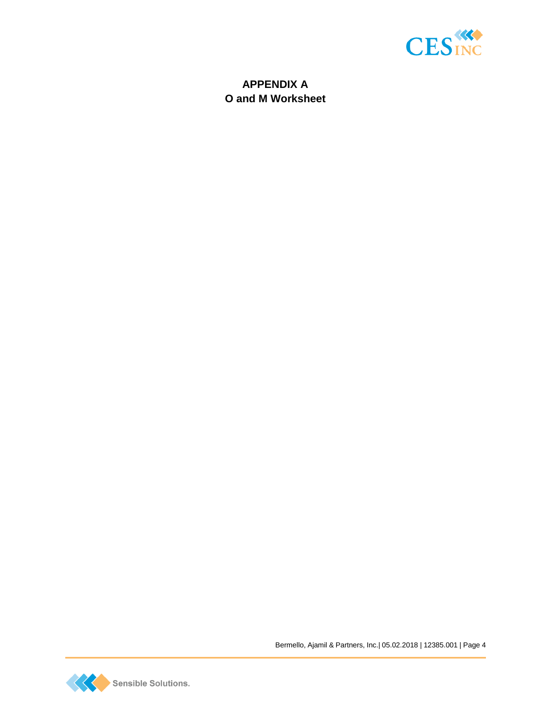

## **APPENDIX A O and M Worksheet**



Bermello, Ajamil & Partners, Inc.| 05.02.2018 | 12385.001 | Page 4